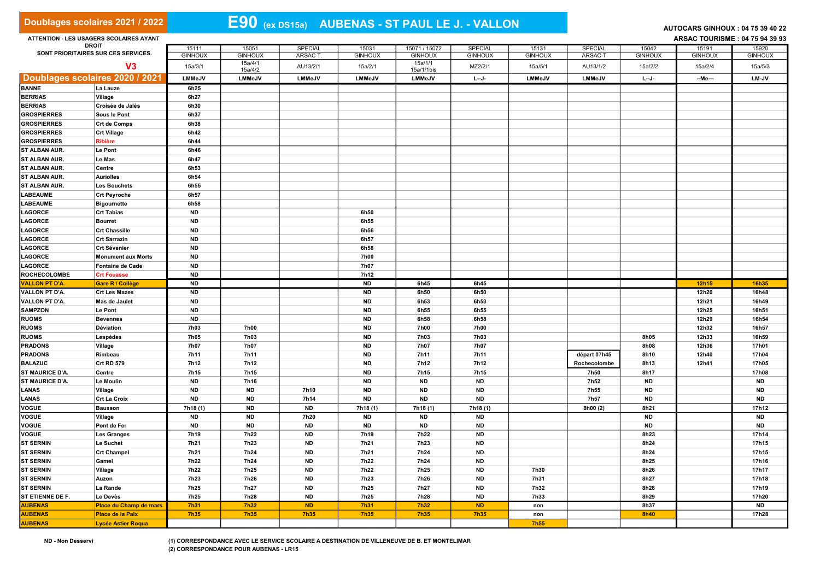| Doublages scolaires 2021 / 2022                     |                                         |                   |                           | E90 (ex DS15a) AUBENAS - ST PAUL LE J. - VALLON | AUTOCARS GINHOUX: 04 75 39 40 22 |                           |                        |                    |                |                   |                                |                    |
|-----------------------------------------------------|-----------------------------------------|-------------------|---------------------------|-------------------------------------------------|----------------------------------|---------------------------|------------------------|--------------------|----------------|-------------------|--------------------------------|--------------------|
|                                                     | ATTENTION - LES USAGERS SCOLAIRES AYANT |                   |                           |                                                 |                                  |                           |                        |                    |                |                   | ARSAC TOURISME: 04 75 94 39 93 |                    |
| <b>DROIT</b><br>SONT PRIORITAIRES SUR CES SERVICES. |                                         | 15111             | 15051                     | SPECIAL                                         | 15031                            | 15071 / 15072             | <b>SPECIAL</b>         | 15131              | <b>SPECIAL</b> | 15042             | 15191                          | 15920              |
|                                                     |                                         | <b>GINHOUX</b>    | <b>GINHOUX</b><br>15a/4/1 | ARSAC T                                         | <b>GINHOUX</b>                   | <b>GINHOUX</b><br>15a/1/1 | <b>GINHOUX</b>         | <b>GINHOUX</b>     | ARSAC T        | <b>GINHOUX</b>    | <b>GINHOUX</b>                 | <b>GINHOUX</b>     |
| V <sub>3</sub>                                      |                                         | 15a/3/1           | 15a/4/2                   | AU13/2/1                                        | 15a/2/1                          | 15a/1/1bis                | MZ2/2/1                | 15a/5/1            | AU13/1/2       | 15a/2/2           | 15a/2/4                        | 15a/5/3            |
| Doublages scolaires 2020 / 2021                     |                                         | <b>LMMeJV</b>     | <b>LMMeJV</b>             | <b>LMMeJV</b>                                   | <b>LMMeJV</b>                    | LMMeJV                    | $L - J -$              | <b>LMMeJV</b>      | <b>LMMeJV</b>  | $L - J -$         | --Me---                        | <b>LM-JV</b>       |
| <b>BANNE</b>                                        | La Lauze                                | 6h25              |                           |                                                 |                                  |                           |                        |                    |                |                   |                                |                    |
| <b>BERRIAS</b>                                      | Village                                 | 6h27              |                           |                                                 |                                  |                           |                        |                    |                |                   |                                |                    |
| <b>BERRIAS</b>                                      | Croisée de Jalès                        | 6h30              |                           |                                                 |                                  |                           |                        |                    |                |                   |                                |                    |
| <b>GROSPIERRES</b>                                  | Sous le Pont                            | 6h37              |                           |                                                 |                                  |                           |                        |                    |                |                   |                                |                    |
| <b>GROSPIERRES</b>                                  | <b>Crt de Comps</b>                     | 6h38              |                           |                                                 |                                  |                           |                        |                    |                |                   |                                |                    |
| <b>GROSPIERRES</b>                                  | <b>Crt Village</b>                      | 6h42              |                           |                                                 |                                  |                           |                        |                    |                |                   |                                |                    |
| <b>GROSPIERRES</b>                                  | <b>Ribière</b>                          | 6h44              |                           |                                                 |                                  |                           |                        |                    |                |                   |                                |                    |
| ST ALBAN AUR.<br>ST ALBAN AUR.                      | <b>Le Pont</b>                          | 6h46              |                           |                                                 |                                  |                           |                        |                    |                |                   |                                |                    |
| ST ALBAN AUR.                                       | Le Mas                                  | 6h47              |                           |                                                 |                                  |                           |                        |                    |                |                   |                                |                    |
| ST ALBAN AUR.                                       | Centre<br><b>Auriolles</b>              | 6h53<br>6h54      |                           |                                                 |                                  |                           |                        |                    |                |                   |                                |                    |
| ST ALBAN AUR.                                       | <b>Les Bouchets</b>                     | 6h55              |                           |                                                 |                                  |                           |                        |                    |                |                   |                                |                    |
| <b>LABEAUME</b>                                     | <b>Crt Peyroche</b>                     | 6h57              |                           |                                                 |                                  |                           |                        |                    |                |                   |                                |                    |
| LABEAUME                                            | <b>Bigournette</b>                      | 6h58              |                           |                                                 |                                  |                           |                        |                    |                |                   |                                |                    |
| <b>LAGORCE</b>                                      | <b>Crt Tabias</b>                       | <b>ND</b>         |                           |                                                 | 6h50                             |                           |                        |                    |                |                   |                                |                    |
| LAGORCE                                             | <b>Bourret</b>                          | <b>ND</b>         |                           |                                                 | 6h55                             |                           |                        |                    |                |                   |                                |                    |
| LAGORCE                                             | <b>Crt Chassille</b>                    | <b>ND</b>         |                           |                                                 | 6h56                             |                           |                        |                    |                |                   |                                |                    |
| <b>LAGORCE</b>                                      | <b>Crt Sarrazin</b>                     | <b>ND</b>         |                           |                                                 | 6h57                             |                           |                        |                    |                |                   |                                |                    |
| LAGORCE                                             | <b>Crt Sévenier</b>                     | <b>ND</b>         |                           |                                                 | 6h58                             |                           |                        |                    |                |                   |                                |                    |
| <b>LAGORCE</b>                                      | <b>Monument aux Morts</b>               | <b>ND</b>         |                           |                                                 | 7h00                             |                           |                        |                    |                |                   |                                |                    |
| LAGORCE                                             | <b>Fontaine de Cade</b>                 | <b>ND</b>         |                           |                                                 | 7h07                             |                           |                        |                    |                |                   |                                |                    |
| <b>ROCHECOLOMBE</b>                                 | <b>Crt Fouasse</b>                      | <b>ND</b>         |                           |                                                 | 7h12                             |                           |                        |                    |                |                   |                                |                    |
|                                                     |                                         |                   |                           |                                                 |                                  |                           |                        |                    |                |                   |                                |                    |
| <b>VALLON PT D'A</b>                                | <b>Gare R / Collège</b>                 | <b>ND</b>         |                           |                                                 | <b>ND</b>                        | 6h45                      | 6h45                   |                    |                |                   | 12h15                          | 16h35              |
| VALLON PT D'A.                                      | <b>Crt Les Mazes</b>                    | <b>ND</b>         |                           |                                                 | <b>ND</b>                        | 6h50                      | 6h50                   |                    |                |                   | 12h20                          | 16h48              |
| VALLON PT D'A.                                      | Mas de Jaulet                           | <b>ND</b>         |                           |                                                 | <b>ND</b>                        | 6h53                      | 6h53                   |                    |                |                   | 12h21                          | 16h49              |
| <b>SAMPZON</b>                                      | Le Pont                                 | <b>ND</b>         |                           |                                                 | <b>ND</b>                        | 6h55                      | 6h55                   |                    |                |                   | 12h25                          | 16h51              |
| <b>RUOMS</b>                                        | <b>Bevennes</b>                         | <b>ND</b>         |                           |                                                 | <b>ND</b>                        | 6h58                      | 6h58                   |                    |                |                   | 12h29                          | 16h54              |
| <b>RUOMS</b>                                        | Déviation                               | 7h03              | 7h00                      |                                                 | <b>ND</b>                        | 7h00                      | 7h00                   |                    |                |                   | 12h32                          | 16h57              |
| <b>RUOMS</b>                                        | Lespèdes                                | 7h05              | <b>7h03</b>               |                                                 | <b>ND</b>                        | 7h03                      | 7h03                   |                    |                | 8h05              | 12h33                          | 16h59              |
| <b>PRADONS</b>                                      | Village                                 | 7h07              | 7h07                      |                                                 | <b>ND</b>                        | 7h07                      | 7h07                   |                    |                | 8h08              | 12h36                          | 17h01              |
| <b>PRADONS</b>                                      | Rimbeau                                 | 7h11              | 7h11                      |                                                 | <b>ND</b>                        | 7h11                      | 7h11                   |                    | départ 07h45   | 8h10              | 12h40                          | 17h04              |
| <b>BALAZUC</b>                                      | Crt RD 579                              | 7h12              | 7h12                      |                                                 | <b>ND</b>                        | 7h12                      | 7h12                   |                    | Rochecolombe   | 8h13              | 12h41                          | 17h05              |
| ST MAURICE D'A.                                     | Centre                                  | 7h15              | 7h15                      |                                                 | <b>ND</b>                        | 7h15                      | 7h15                   |                    | 7h50           | 8h17              |                                | 17h08              |
| ST MAURICE D'A.                                     | <b>Le Moulin</b>                        | <b>ND</b>         | 7h16                      |                                                 | <b>ND</b>                        | <b>ND</b>                 | <b>ND</b>              |                    | 7h52           | <b>ND</b>         |                                | <b>ND</b>          |
| LANAS                                               | Village                                 | <b>ND</b>         | <b>ND</b>                 | 7h10                                            | <b>ND</b>                        | <b>ND</b>                 | <b>ND</b>              |                    | 7h55           | <b>ND</b>         |                                | <b>ND</b>          |
| LANAS                                               | <b>Crt La Croix</b>                     | <b>ND</b>         | <b>ND</b>                 | 7h14                                            | <b>ND</b>                        | <b>ND</b>                 | <b>ND</b>              |                    | 7h57           | <b>ND</b>         |                                | <b>ND</b>          |
| <b>VOGUE</b>                                        | <b>Bausson</b>                          | 7h18(1)           | <b>ND</b>                 | <b>ND</b>                                       | 7h18 (1)                         | 7h18(1)                   | 7h18(1)                |                    | 8h00 (2)       | 8h21              |                                | 17h12              |
| <b>VOGUE</b>                                        | Village                                 | <b>ND</b>         | <b>ND</b>                 | 7h20                                            | <b>ND</b>                        | <b>ND</b>                 | <b>ND</b>              |                    |                | <b>ND</b>         |                                | <b>ND</b>          |
| VOGUE<br><b>VOGUE</b>                               | Pont de Fer                             | <b>ND</b><br>7h19 | <b>ND</b>                 | <b>ND</b><br><b>ND</b>                          | <b>ND</b><br>7h19                | <b>ND</b><br>7h22         | <b>ND</b><br><b>ND</b> |                    |                | <b>ND</b><br>8h23 |                                | <b>ND</b><br>17h14 |
| <b>ST SERNIN</b>                                    | <b>Les Granges</b><br>Le Suchet         | 7h21              | 7h22<br>7h23              | <b>ND</b>                                       | 7h21                             | 7h23                      | <b>ND</b>              |                    |                | 8h24              |                                | 17h15              |
| <b>ST SERNIN</b>                                    | <b>Crt Champel</b>                      | <b>7h21</b>       | 7h24                      | ND                                              | 7h21                             | 7h24                      | <b>ND</b>              |                    |                | 8h24              |                                | 17h15              |
| <b>ST SERNIN</b>                                    | Gamel                                   | 7h22              | 7h24                      | <b>ND</b>                                       | 7h22                             | 7h24                      | <b>ND</b>              |                    |                | 8h25              |                                | 17h16              |
| <b>ST SERNIN</b>                                    | Village                                 | 7h22              | 7h25                      | <b>ND</b>                                       | 7h22                             | 7h25                      | <b>ND</b>              | 7h30               |                | 8h26              |                                | 17h17              |
| <b>ST SERNIN</b>                                    | Auzon                                   | 7h23              | 7h26                      | <b>ND</b>                                       | 7h23                             | 7h26                      | <b>ND</b>              | 7h31               |                | 8h27              |                                | 17h18              |
| <b>ST SERNIN</b>                                    | La Rande                                | 7h25              | 7h27                      | <b>ND</b>                                       | 7h25                             | 7h27                      | <b>ND</b>              | 7h32               |                | 8h28              |                                | 17h19              |
| ST ETIENNE DE F.                                    | Le Devès                                | 7h25              | 7h28                      | <b>ND</b>                                       | 7h25                             | 7h28                      | <b>ND</b>              | 7h33               |                | 8h29              |                                | 17h20              |
| <b>AUBENAS</b>                                      | <b>Place du Champ de mars</b>           | 7h31              | <b>7h32</b>               | <b>ND</b>                                       | <b>7h31</b>                      | 7h32                      | <b>ND</b>              | non                |                | 8h37              |                                | <b>ND</b>          |
| <b>AUBENAS</b><br><b>AUBENAS</b>                    | Place de la Paix                        | <b>7h35</b>       | <b>7h35</b>               | <b>7h35</b>                                     | <b>7h35</b>                      | <b>7h35</b>               | <b>7h35</b>            | non<br><b>7h55</b> |                | 8h40              |                                | 17h28              |

ND - Non Desservi (1) CORRESPONDANCE AVEC LE SERVICE SCOLAIRE A DESTINATION DE VILLENEUVE DE B. ET MONTELIMAR (2) CORRESPONDANCE POUR AUBENAS - LR15